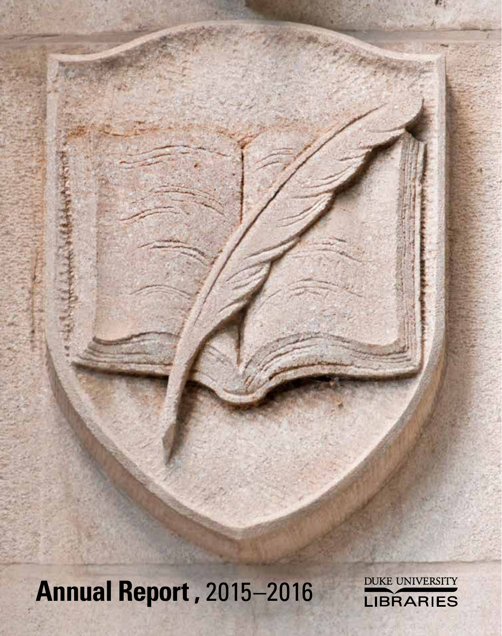**Annual Report ,** 2015–2016

DUKE UNIVERSITY LIBRARIES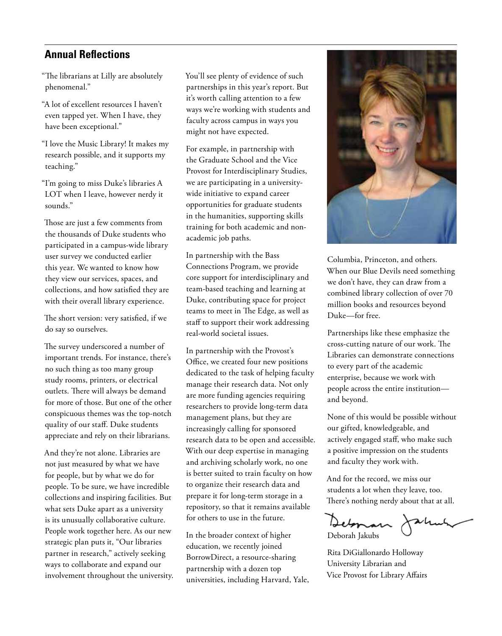### **Annual Reflections**

"The librarians at Lilly are absolutely phenomenal."

"A lot of excellent resources I haven't even tapped yet. When I have, they have been exceptional."

"I love the Music Library! It makes my research possible, and it supports my teaching."

"I'm going to miss Duke's libraries A LOT when I leave, however nerdy it sounds."

Those are just a few comments from the thousands of Duke students who participated in a campus-wide library user survey we conducted earlier this year. We wanted to know how they view our services, spaces, and collections, and how satisfied they are with their overall library experience.

The short version: very satisfied, if we do say so ourselves.

The survey underscored a number of important trends. For instance, there's no such thing as too many group study rooms, printers, or electrical outlets. There will always be demand for more of those. But one of the other conspicuous themes was the top-notch quality of our staff. Duke students appreciate and rely on their librarians.

And they're not alone. Libraries are not just measured by what we have for people, but by what we do for people. To be sure, we have incredible collections and inspiring facilities. But what sets Duke apart as a university is its unusually collaborative culture. People work together here. As our new strategic plan puts it, "Our libraries partner in research," actively seeking ways to collaborate and expand our involvement throughout the university. You'll see plenty of evidence of such partnerships in this year's report. But it's worth calling attention to a few ways we're working with students and faculty across campus in ways you might not have expected.

For example, in partnership with the Graduate School and the Vice Provost for Interdisciplinary Studies, we are participating in a universitywide initiative to expand career opportunities for graduate students in the humanities, supporting skills training for both academic and nonacademic job paths.

In partnership with the Bass Connections Program, we provide core support for interdisciplinary and team-based teaching and learning at Duke, contributing space for project teams to meet in The Edge, as well as staff to support their work addressing real-world societal issues.

In partnership with the Provost's Office, we created four new positions dedicated to the task of helping faculty manage their research data. Not only are more funding agencies requiring researchers to provide long-term data management plans, but they are increasingly calling for sponsored research data to be open and accessible. With our deep expertise in managing and archiving scholarly work, no one is better suited to train faculty on how to organize their research data and prepare it for long-term storage in a repository, so that it remains available for others to use in the future.

In the broader context of higher education, we recently joined BorrowDirect, a resource-sharing partnership with a dozen top universities, including Harvard, Yale,



Columbia, Princeton, and others. When our Blue Devils need something we don't have, they can draw from a combined library collection of over 70 million books and resources beyond Duke—for free.

Partnerships like these emphasize the cross-cutting nature of our work. The Libraries can demonstrate connections to every part of the academic enterprise, because we work with people across the entire institution and beyond.

None of this would be possible without our gifted, knowledgeable, and actively engaged staff, who make such a positive impression on the students and faculty they work with.

And for the record, we miss our students a lot when they leave, too. There's nothing nerdy about that at all.

Debonan Jahung

Rita DiGiallonardo Holloway University Librarian and Vice Provost for Library Affairs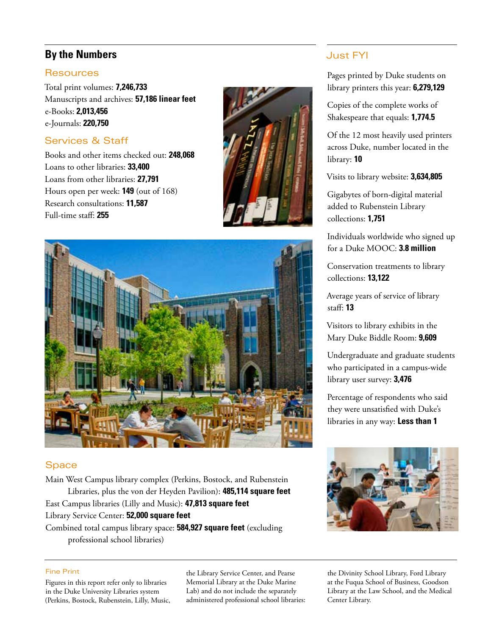# **By the Numbers**

#### **Resources**

Total print volumes: **7,246,733** Manuscripts and archives: **57,186 linear feet** e-Books: **2,013,456** e-Journals: **220,750**

## Services & Staff

Books and other items checked out: **248,068** Loans to other libraries: **33,400** Loans from other libraries: **27,791** Hours open per week: **149** (out of 168) Research consultations: **11,587**  Full-time staff: **255**





### **Space**

Main West Campus library complex (Perkins, Bostock, and Rubenstein Libraries, plus the von der Heyden Pavilion): **485,114 square feet** East Campus libraries (Lilly and Music): **47,813 square feet** Library Service Center: **52,000 square feet** Combined total campus library space: **584,927 square feet** (excluding

professional school libraries)

#### Just FYI

Pages printed by Duke students on library printers this year: **6,279,129**

Copies of the complete works of Shakespeare that equals: **1,774.5**

Of the 12 most heavily used printers across Duke, number located in the library: **10**

Visits to library website: **3,634,805**

Gigabytes of born-digital material added to Rubenstein Library collections: **1,751**

Individuals worldwide who signed up for a Duke MOOC: **3.8 million**

Conservation treatments to library collections: **13,122**

Average years of service of library staff: **13**

Visitors to library exhibits in the Mary Duke Biddle Room: **9,609**

Undergraduate and graduate students who participated in a campus-wide library user survey: **3,476**

Percentage of respondents who said they were unsatisfied with Duke's libraries in any way: **Less than 1**



#### Fine Print

Figures in this report refer only to libraries in the Duke University Libraries system (Perkins, Bostock, Rubenstein, Lilly, Music, the Library Service Center, and Pearse Memorial Library at the Duke Marine Lab) and do not include the separately administered professional school libraries:

the Divinity School Library, Ford Library at the Fuqua School of Business, Goodson Library at the Law School, and the Medical Center Library.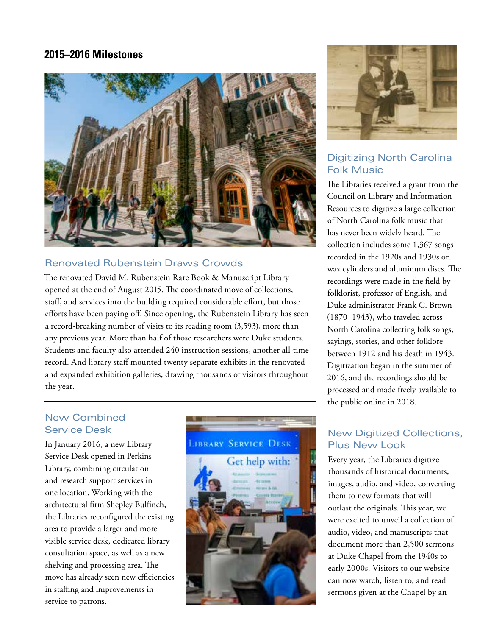### **2015–2016 Milestones**



### Renovated Rubenstein Draws Crowds

The renovated David M. Rubenstein Rare Book & Manuscript Library opened at the end of August 2015. The coordinated move of collections, staff, and services into the building required considerable effort, but those efforts have been paying off. Since opening, the Rubenstein Library has seen a record-breaking number of visits to its reading room (3,593), more than any previous year. More than half of those researchers were Duke students. Students and faculty also attended 240 instruction sessions, another all-time record. And library staff mounted twenty separate exhibits in the renovated and expanded exhibition galleries, drawing thousands of visitors throughout the year.

## New Combined Service Desk

In January 2016, a new Library Service Desk opened in Perkins Library, combining circulation and research support services in one location. Working with the architectural firm Shepley Bulfinch, the Libraries reconfigured the existing area to provide a larger and more visible service desk, dedicated library consultation space, as well as a new shelving and processing area. The move has already seen new efficiencies in staffing and improvements in service to patrons.





## Digitizing North Carolina Folk Music

The Libraries received a grant from the Council on Library and Information Resources to digitize a large collection of North Carolina folk music that has never been widely heard. The collection includes some 1,367 songs recorded in the 1920s and 1930s on wax cylinders and aluminum discs. The recordings were made in the field by folklorist, professor of English, and Duke administrator Frank C. Brown (1870–1943), who traveled across North Carolina collecting folk songs, sayings, stories, and other folklore between 1912 and his death in 1943. Digitization began in the summer of 2016, and the recordings should be processed and made freely available to the public online in 2018.

### New Digitized Collections, Plus New Look

Every year, the Libraries digitize thousands of historical documents, images, audio, and video, converting them to new formats that will outlast the originals. This year, we were excited to unveil a collection of audio, video, and manuscripts that document more than 2,500 sermons at Duke Chapel from the 1940s to early 2000s. Visitors to our website can now watch, listen to, and read sermons given at the Chapel by an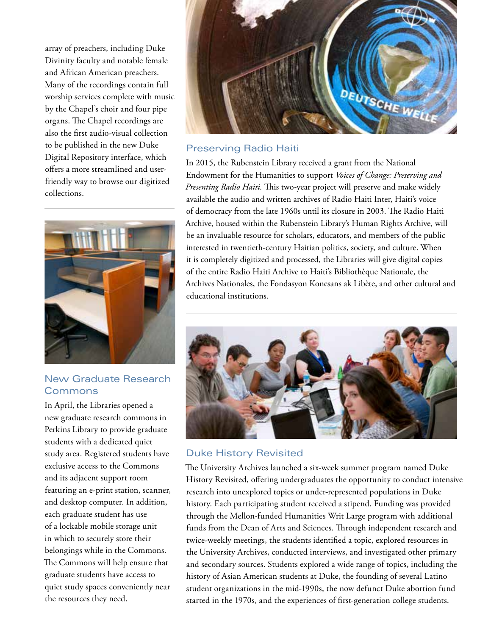array of preachers, including Duke Divinity faculty and notable female and African American preachers. Many of the recordings contain full worship services complete with music by the Chapel's choir and four pipe organs. The Chapel recordings are also the first audio-visual collection to be published in the new Duke Digital Repository interface, which offers a more streamlined and userfriendly way to browse our digitized collections.



#### New Graduate Research **Commons**

In April, the Libraries opened a new graduate research commons in Perkins Library to provide graduate students with a dedicated quiet study area. Registered students have exclusive access to the Commons and its adjacent support room featuring an e-print station, scanner, and desktop computer. In addition, each graduate student has use of a lockable mobile storage unit in which to securely store their belongings while in the Commons. The Commons will help ensure that graduate students have access to quiet study spaces conveniently near the resources they need.



### Preserving Radio Haiti

In 2015, the Rubenstein Library received a grant from the National Endowment for the Humanities to support *Voices of Change: Preserving and Presenting Radio Haiti.* This two-year project will preserve and make widely available the audio and written archives of Radio Haiti Inter, Haiti's voice of democracy from the late 1960s until its closure in 2003. The Radio Haiti Archive, housed within the Rubenstein Library's Human Rights Archive, will be an invaluable resource for scholars, educators, and members of the public interested in twentieth-century Haitian politics, society, and culture. When it is completely digitized and processed, the Libraries will give digital copies of the entire Radio Haiti Archive to Haiti's Bibliothèque Nationale, the Archives Nationales, the Fondasyon Konesans ak Libète, and other cultural and educational institutions.



### Duke History Revisited

The University Archives launched a six-week summer program named Duke History Revisited, offering undergraduates the opportunity to conduct intensive research into unexplored topics or under-represented populations in Duke history. Each participating student received a stipend. Funding was provided through the Mellon-funded Humanities Writ Large program with additional funds from the Dean of Arts and Sciences. Through independent research and twice-weekly meetings, the students identified a topic, explored resources in the University Archives, conducted interviews, and investigated other primary and secondary sources. Students explored a wide range of topics, including the history of Asian American students at Duke, the founding of several Latino student organizations in the mid-1990s, the now defunct Duke abortion fund started in the 1970s, and the experiences of first-generation college students.